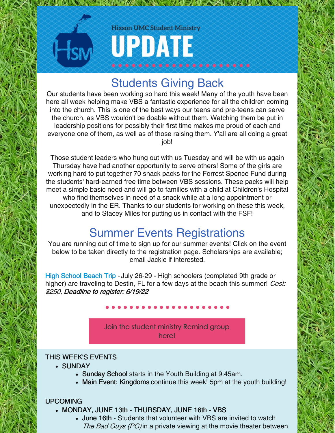### **Hixson UMC Student Ministry**

UPDATE

## Students Giving Back

**THE MANUSCRIPTION OF THE ANGLE OF THE ANGLE OF THE ANGLE OF THE ANGLE OF THE ANGLE OF THE ANGLE OF THE ANGLE OF** 

Our students have been working so hard this week! Many of the youth have been here all week helping make VBS a fantastic experience for all the children coming into the church. This is one of the best ways our teens and pre-teens can serve the church, as VBS wouldn't be doable without them. Watching them be put in leadership positions for possibly their first time makes me proud of each and everyone one of them, as well as of those raising them. Y'all are all doing a great job!

Those student leaders who hung out with us Tuesday and will be with us again Thursday have had another opportunity to serve others! Some of the girls are working hard to put together 70 snack packs for the Forrest Spence Fund during the students' hard-earned free time between VBS sessions. These packs will help meet a simple basic need and will go to families with a child at Children's Hospital who find themselves in need of a snack while at a long appointment or unexpectedly in the ER. Thanks to our students for working on these this week, and to Stacey Miles for putting us in contact with the FSF!

## Summer Events Registrations

You are running out of time to sign up for our summer events! Click on the event below to be taken directly to the registration page. Scholarships are available; email Jackie if interested.

High [School](https://hixsonumc.churchcenter.com/registrations/events/1237370) Beach Trip - July 26-29 - High schoolers (completed 9th grade or higher) are traveling to Destin, FL for a few days at the beach this summer! Cost: \$250, Deadline to register: 6/19/22

> Join the student ministry [Remind](https://www.remind.com/join/hixsonsm) group here!

#### THIS WEEK'S EVENTS

- SUNDAY
	- Sunday School starts in the Youth Building at 9:45am.
	- Main Event: Kingdoms continue this week! 5pm at the youth building!

### UPCOMING

- MONDAY, JUNE 13th THURSDAY, JUNE 16th VBS
	- June 16th Students that volunteer with VBS are invited to watch The Bad Guys (PG) in a private viewing at the movie theater between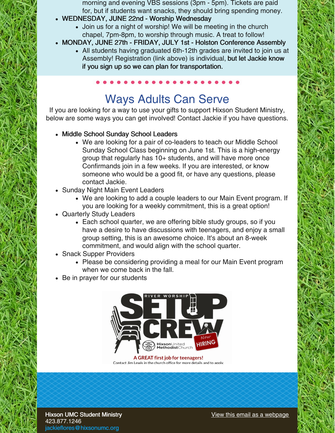- morning and evening VBS sessions (3pm 5pm). Tickets are paid for, but if students want snacks, they should bring spending money.
- WEDNESDAY, JUNE 22nd Worship Wednesday
	- Join us for a night of worship! We will be meeting in the church chapel, 7pm-8pm, to worship through music. A treat to follow!
- MONDAY, JUNE 27th FRIDAY, JULY 1st Holston Conference Assembly
	- All students having graduated 6th-12th grades are invited to join us at Assembly! Registration (link above) is individual, but let Jackie know if you sign up so we can plan for transportation.

# Ways Adults Can Serve

If you are looking for a way to use your gifts to support Hixson Student Ministry, below are some ways you can get involved! Contact Jackie if you have questions.

- Middle School Sunday School Leaders
	- We are looking for a pair of co-leaders to teach our Middle School Sunday School Class beginning on June 1st. This is a high-energy group that regularly has 10+ students, and will have more once Confirmands join in a few weeks. If you are interested, or know someone who would be a good fit, or have any questions, please contact Jackie.
- Sunday Night Main Event Leaders
	- We are looking to add a couple leaders to our Main Event program. If you are looking for a weekly commitment, this is a great option!
- Quarterly Study Leaders
	- Each school quarter, we are offering bible study groups, so if you have a desire to have discussions with teenagers, and enjoy a small group setting, this is an awesome choice. It's about an 8-week commitment, and would align with the school quarter.
- Snack Supper Providers
	- Please be considering providing a meal for our Main Event program when we come back in the fall.
- Be in prayer for our students



A GREAT first job for teenagers! Contact Jim Lewis in the church office for more details and to apply.

Hixson UMC Student Ministry 423.877.1246 [jackieflores@hixsonumc.org](mailto:jackieflores@hixsonumc.org)

View this email as a [webpage](https://campaignlp.constantcontact.com/em/1103923422860/ddb09e46-bfd7-4817-a717-243b2b4042ee)